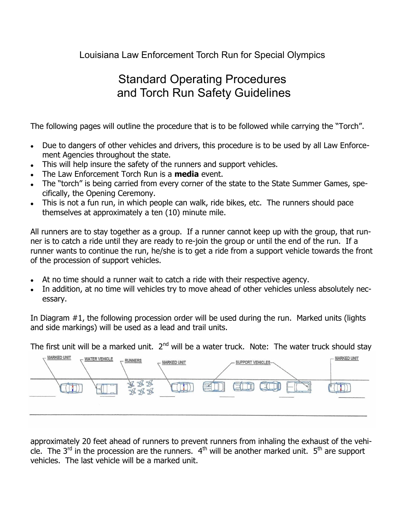## Louisiana Law Enforcement Torch Run for Special Olympics

## Standard Operating Procedures and Torch Run Safety Guidelines

The following pages will outline the procedure that is to be followed while carrying the "Torch".

- Due to dangers of other vehicles and drivers, this procedure is to be used by all Law Enforce- $\bullet$ ment Agencies throughout the state.
- This will help insure the safety of the runners and support vehicles.  $\bullet$
- The Law Enforcement Torch Run is a **media** event.
- The "torch" is being carried from every corner of the state to the State Summer Games, spe- $\bullet$ cifically, the Opening Ceremony.
- This is not a fun run, in which people can walk, ride bikes, etc. The runners should pace themselves at approximately a ten (10) minute mile.

All runners are to stay together as a group. If a runner cannot keep up with the group, that runner is to catch a ride until they are ready to re-join the group or until the end of the run. If a runner wants to continue the run, he/she is to get a ride from a support vehicle towards the front of the procession of support vehicles.

- At no time should a runner wait to catch a ride with their respective agency.
- In addition, at no time will vehicles try to move ahead of other vehicles unless absolutely nec- $\bullet$ essary.

In Diagram #1, the following procession order will be used during the run. Marked units (lights and side markings) will be used as a lead and trail units.

The first unit will be a marked unit.  $2^{nd}$  will be a water truck. Note: The water truck should stay



approximately 20 feet ahead of runners to prevent runners from inhaling the exhaust of the vehicle. The 3<sup>rd</sup> in the procession are the runners.  $4<sup>th</sup>$  will be another marked unit.  $5<sup>th</sup>$  are support vehicles. The last vehicle will be a marked unit.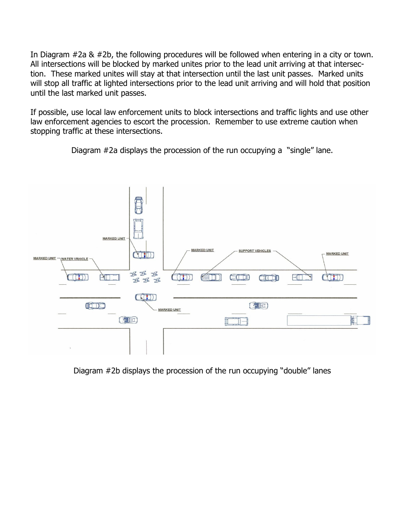In Diagram #2a & #2b, the following procedures will be followed when entering in a city or town. All intersections will be blocked by marked unites prior to the lead unit arriving at that intersection. These marked unites will stay at that intersection until the last unit passes. Marked units will stop all traffic at lighted intersections prior to the lead unit arriving and will hold that position until the last marked unit passes.

If possible, use local law enforcement units to block intersections and traffic lights and use other law enforcement agencies to escort the procession. Remember to use extreme caution when stopping traffic at these intersections.

Diagram #2a displays the procession of the run occupying a "single" lane.



Diagram #2b displays the procession of the run occupying "double" lanes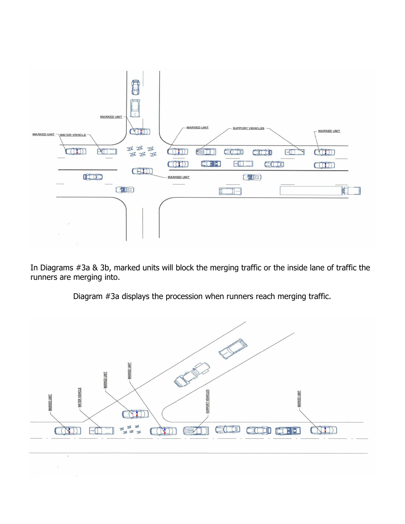

In Diagrams #3a & 3b, marked units will block the merging traffic or the inside lane of traffic the runners are merging into.



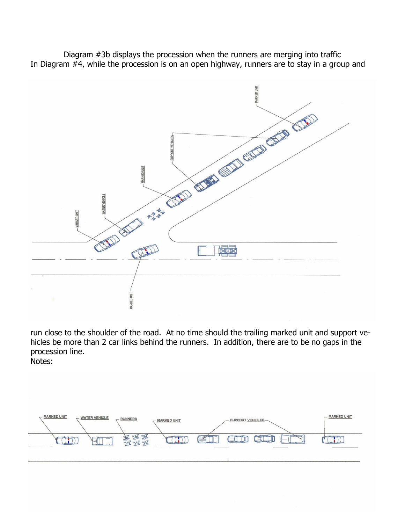Diagram #3b displays the procession when the runners are merging into traffic In Diagram #4, while the procession is on an open highway, runners are to stay in a group and



run close to the shoulder of the road. At no time should the trailing marked unit and support vehicles be more than 2 car links behind the runners. In addition, there are to be no gaps in the procession line.

Notes: